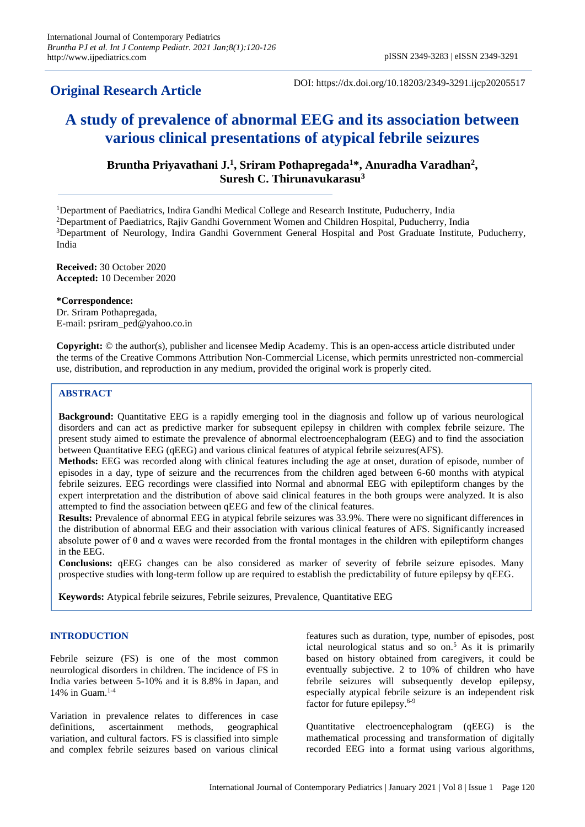## **Original Research Article**

DOI: https://dx.doi.org/10.18203/2349-3291.ijcp20205517

# **A study of prevalence of abnormal EEG and its association between various clinical presentations of atypical febrile seizures**

**Bruntha Priyavathani J. 1 , Sriram Pothapregada<sup>1</sup>\*, Anuradha Varadhan<sup>2</sup> , Suresh C. Thirunavukarasu<sup>3</sup>**

<sup>1</sup>Department of Paediatrics, Indira Gandhi Medical College and Research Institute, Puducherry, India

<sup>2</sup>Department of Paediatrics, Rajiv Gandhi Government Women and Children Hospital, Puducherry, India

<sup>3</sup>Department of Neurology, Indira Gandhi Government General Hospital and Post Graduate Institute, Puducherry, India

**Received:** 30 October 2020 **Accepted:** 10 December 2020

**\*Correspondence:** Dr. Sriram Pothapregada, E-mail: psriram\_ped@yahoo.co.in

**Copyright:** © the author(s), publisher and licensee Medip Academy. This is an open-access article distributed under the terms of the Creative Commons Attribution Non-Commercial License, which permits unrestricted non-commercial use, distribution, and reproduction in any medium, provided the original work is properly cited.

## **ABSTRACT**

**Background:** Quantitative EEG is a rapidly emerging tool in the diagnosis and follow up of various neurological disorders and can act as predictive marker for subsequent epilepsy in children with complex febrile seizure. The present study aimed to estimate the prevalence of abnormal electroencephalogram (EEG) and to find the association between Quantitative EEG (qEEG) and various clinical features of atypical febrile seizures(AFS).

**Methods:** EEG was recorded along with clinical features including the age at onset, duration of episode, number of episodes in a day, type of seizure and the recurrences from the children aged between 6-60 months with atypical febrile seizures. EEG recordings were classified into Normal and abnormal EEG with epileptiform changes by the expert interpretation and the distribution of above said clinical features in the both groups were analyzed. It is also attempted to find the association between qEEG and few of the clinical features.

**Results:** Prevalence of abnormal EEG in atypical febrile seizures was 33.9%. There were no significant differences in the distribution of abnormal EEG and their association with various clinical features of AFS. Significantly increased absolute power of  $\theta$  and  $\alpha$  waves were recorded from the frontal montages in the children with epileptiform changes in the EEG.

**Conclusions:** qEEG changes can be also considered as marker of severity of febrile seizure episodes. Many prospective studies with long-term follow up are required to establish the predictability of future epilepsy by qEEG.

**Keywords:** Atypical febrile seizures, Febrile seizures, Prevalence, Quantitative EEG

## **INTRODUCTION**

Febrile seizure (FS) is one of the most common neurological disorders in children. The incidence of FS in India varies between 5-10% and it is 8.8% in Japan, and 14% in Guam. $1-4$ 

Variation in prevalence relates to differences in case definitions, ascertainment methods, geographical variation, and cultural factors. FS is classified into simple and complex febrile seizures based on various clinical features such as duration, type, number of episodes, post ictal neurological status and so on.<sup>5</sup> As it is primarily based on history obtained from caregivers, it could be eventually subjective. 2 to 10% of children who have febrile seizures will subsequently develop epilepsy, especially atypical febrile seizure is an independent risk factor for future epilepsy.6-9

Quantitative electroencephalogram (qEEG) is the mathematical processing and transformation of digitally recorded EEG into a format using various algorithms,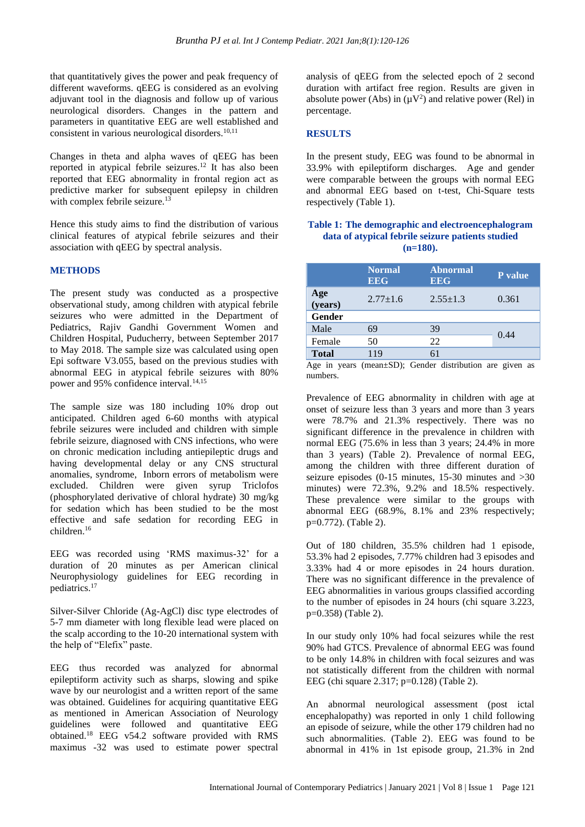that quantitatively gives the power and peak frequency of different waveforms. qEEG is considered as an evolving adjuvant tool in the diagnosis and follow up of various neurological disorders. Changes in the pattern and parameters in quantitative EEG are well established and consistent in various neurological disorders.<sup>10,11</sup>

Changes in theta and alpha waves of qEEG has been reported in atypical febrile seizures.<sup>12</sup> It has also been reported that EEG abnormality in frontal region act as predictive marker for subsequent epilepsy in children with complex febrile seizure.<sup>13</sup>

Hence this study aims to find the distribution of various clinical features of atypical febrile seizures and their association with qEEG by spectral analysis.

#### **METHODS**

The present study was conducted as a prospective observational study, among children with atypical febrile seizures who were admitted in the Department of Pediatrics, Rajiv Gandhi Government Women and Children Hospital, Puducherry, between September 2017 to May 2018. The sample size was calculated using open Epi software V3.055, based on the previous studies with abnormal EEG in atypical febrile seizures with 80% power and 95% confidence interval.<sup>14,15</sup>

The sample size was 180 including 10% drop out anticipated. Children aged 6-60 months with atypical febrile seizures were included and children with simple febrile seizure, diagnosed with CNS infections, who were on chronic medication including antiepileptic drugs and having developmental delay or any CNS structural anomalies, syndrome, Inborn errors of metabolism were excluded. Children were given syrup Triclofos (phosphorylated derivative of chloral hydrate) 30 mg/kg for sedation which has been studied to be the most effective and safe sedation for recording EEG in children.<sup>16</sup>

EEG was recorded using 'RMS maximus-32' for a duration of 20 minutes as per American clinical Neurophysiology guidelines for EEG recording in pediatrics.<sup>17</sup>

Silver-Silver Chloride (Ag-AgCl) disc type electrodes of 5-7 mm diameter with long flexible lead were placed on the scalp according to the 10-20 international system with the help of "Elefix" paste.

EEG thus recorded was analyzed for abnormal epileptiform activity such as sharps, slowing and spike wave by our neurologist and a written report of the same was obtained. Guidelines for acquiring quantitative EEG as mentioned in American Association of Neurology guidelines were followed and quantitative EEG obtained.<sup>18</sup> EEG v54.2 software provided with RMS maximus -32 was used to estimate power spectral

analysis of qEEG from the selected epoch of 2 second duration with artifact free region. Results are given in absolute power (Abs) in  $(\mu V^2)$  and relative power (Rel) in percentage.

#### **RESULTS**

In the present study, EEG was found to be abnormal in 33.9% with epileptiform discharges. Age and gender were comparable between the groups with normal EEG and abnormal EEG based on t-test, Chi-Square tests respectively (Table 1).

#### **Table 1: The demographic and electroencephalogram data of atypical febrile seizure patients studied (n=180).**

| Age<br>$2.55 \pm 1.3$<br>$2.77 \pm 1.6$<br>0.361<br>(years)<br>Gender<br>Male<br>39<br>69<br>0.44<br>Female<br>22<br>50<br>119<br><b>Total</b><br>61 | <b>Normal</b><br><b>EEG</b> | <b>Abnormal</b><br><b>EEG</b> | P value |
|------------------------------------------------------------------------------------------------------------------------------------------------------|-----------------------------|-------------------------------|---------|
|                                                                                                                                                      |                             |                               |         |
|                                                                                                                                                      |                             |                               |         |
|                                                                                                                                                      |                             |                               |         |
|                                                                                                                                                      |                             |                               |         |
|                                                                                                                                                      |                             |                               |         |

Age in years (mean±SD); Gender distribution are given as numbers.

Prevalence of EEG abnormality in children with age at onset of seizure less than 3 years and more than 3 years were 78.7% and 21.3% respectively. There was no significant difference in the prevalence in children with normal EEG (75.6% in less than 3 years; 24.4% in more than 3 years) (Table 2). Prevalence of normal EEG, among the children with three different duration of seizure episodes (0-15 minutes, 15-30 minutes and >30 minutes) were 72.3%, 9.2% and 18.5% respectively. These prevalence were similar to the groups with abnormal EEG (68.9%, 8.1% and 23% respectively; p=0.772). (Table 2).

Out of 180 children, 35.5% children had 1 episode, 53.3% had 2 episodes, 7.77% children had 3 episodes and 3.33% had 4 or more episodes in 24 hours duration. There was no significant difference in the prevalence of EEG abnormalities in various groups classified according to the number of episodes in 24 hours (chi square 3.223, p=0.358) (Table 2).

In our study only 10% had focal seizures while the rest 90% had GTCS. Prevalence of abnormal EEG was found to be only 14.8% in children with focal seizures and was not statistically different from the children with normal EEG (chi square 2.317; p=0.128) (Table 2).

An abnormal neurological assessment (post ictal encephalopathy) was reported in only 1 child following an episode of seizure, while the other 179 children had no such abnormalities. (Table 2). EEG was found to be abnormal in 41% in 1st episode group, 21.3% in 2nd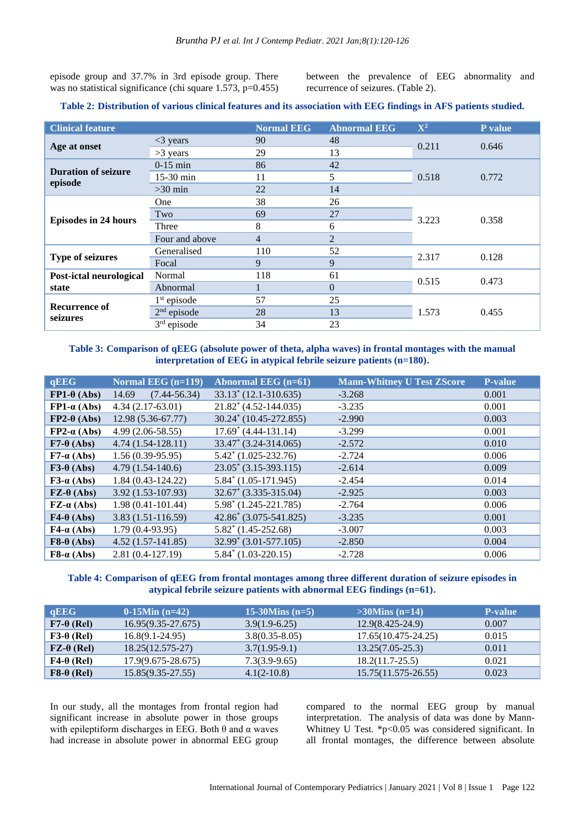episode group and 37.7% in 3rd episode group. There was no statistical significance (chi square 1.573, p=0.455) between the prevalence of EEG abnormality and recurrence of seizures. (Table 2).

#### **Table 2: Distribution of various clinical features and its association with EEG findings in AFS patients studied.**

| <b>Clinical feature</b>               |                | <b>Normal EEG</b> | <b>Abnormal EEG</b> | $\mathbf{X}^2$ | P value |
|---------------------------------------|----------------|-------------------|---------------------|----------------|---------|
| Age at onset                          | $<$ 3 years    | 90                | 48                  |                | 0.646   |
|                                       | $>3$ years     | 29                | 13                  | 0.211          |         |
|                                       | $0-15$ min     | 86                | 42                  |                | 0.772   |
| <b>Duration of seizure</b><br>episode | 15-30 min      | 11                | 5                   | 0.518          |         |
|                                       | $>30$ min      | 22                | 14                  |                |         |
|                                       | One            | 38                | 26                  |                | 0.358   |
|                                       | Two            | 69                | 27                  | 3.223          |         |
| <b>Episodes in 24 hours</b>           | Three          | 8                 | 6                   |                |         |
|                                       | Four and above | $\overline{4}$    | $\overline{2}$      |                |         |
|                                       | Generalised    | 110               | 52                  |                | 0.128   |
| <b>Type of seizures</b>               | Focal          | 9                 | 9                   | 2.317          |         |
| Post-ictal neurological<br>state      | Normal         | 118               | 61                  |                | 0.473   |
|                                       | Abnormal       |                   | $\Omega$            | 0.515          |         |
| <b>Recurrence of</b><br>seizures      | $1st$ episode  | 57                | 25                  |                |         |
|                                       | $2nd$ episode  | 28                | 13                  | 1.573          | 0.455   |
|                                       | $3rd$ episode  | 34                | 23                  |                |         |

**Table 3: Comparison of qEEG (absolute power of theta, alpha waves) in frontal montages with the manual interpretation of EEG in atypical febrile seizure patients (n=180).**

| qEEG                                                  | Normal EEG (n=119)        | <b>Abnormal EEG</b> (n=61)  | <b>Mann-Whitney U Test ZScore</b> | <b>P-value</b> |
|-------------------------------------------------------|---------------------------|-----------------------------|-----------------------------------|----------------|
| $FP1-\theta (Abs)$                                    | $(7.44 - 56.34)$<br>14.69 | $33.13^* (12.1 - 310.635)$  | $-3.268$                          | 0.001          |
| $FPI-a (Abs)$                                         | $4.34(2.17-63.01)$        | $21.82^* (4.52 - 144.035)$  | $-3.235$                          | 0.001          |
| $FP2-\theta (Abs)$                                    | 12.98 (5.36-67.77)        | $30.24^* (10.45 - 272.855)$ | $-2.990$                          | 0.003          |
| $FP2-\alpha (Abs)$                                    | $4.99(2.06-58.55)$        | $17.69^* (4.44 - 131.14)$   | $-3.299$                          | 0.001          |
| $F7-\theta (Abs)$                                     | $4.74(1.54-128.11)$       | 33.47 * (3.24-314.065)      | $-2.572$                          | 0.010          |
| $F7-a (Abs)$                                          | $1.56(0.39-95.95)$        | $5.42^*$ (1.025-232.76)     | $-2.724$                          | 0.006          |
| $F3-\theta (Abs)$                                     | $4.79(1.54-140.6)$        | $23.05^*$ (3.15-393.115)    | $-2.614$                          | 0.009          |
| $F3-a$ (Abs)                                          | $1.84(0.43-124.22)$       | $5.84^* (1.05-171.945)$     | $-2.454$                          | 0.014          |
| $\mathbf{FZ}\text{-}\theta\left( \mathbf{Abs}\right)$ | 3.92 (1.53-107.93)        | $32.67^*$ (3.335-315.04)    | $-2.925$                          | 0.003          |
| $\mathbf{FZ}\text{-}\alpha$ (Abs)                     | $1.98(0.41-101.44)$       | $5.98^*$ (1.245-221.785)    | $-2.764$                          | 0.006          |
| $F4-\theta (Abs)$                                     | $3.83(1.51-116.59)$       | 42.86 (3.075-541.825)       | $-3.235$                          | 0.001          |
| $F4-a$ (Abs)                                          | $1.79(0.4-93.95)$         | $5.82^*$ (1.45-252.68)      | $-3.007$                          | 0.003          |
| $F8-\theta (Abs)$                                     | $4.52(1.57-141.85)$       | $32.99^* (3.01 - 577.105)$  | $-2.850$                          | 0.004          |
| $F8-a$ (Abs)                                          | $2.81(0.4-127.19)$        | $5.84^*$ (1.03-220.15)      | $-2.728$                          | 0.006          |

#### **Table 4: Comparison of qEEG from frontal montages among three different duration of seizure episodes in atypical febrile seizure patients with abnormal EEG findings (n=61).**

| <b>qEEG</b>       | $0-15$ Min $(n=42)$    | 15-30 $Mins$ (n=5) | $>30$ Mins (n=14)       | <b>P-value</b> |
|-------------------|------------------------|--------------------|-------------------------|----------------|
| $F7-\theta (Rel)$ | $16.95(9.35-27.675)$   | $3.9(1.9-6.25)$    | $12.9(8.425 - 24.9)$    | 0.007          |
| $F3-\theta (Rel)$ | $16.8(9.1 - 24.95)$    | $3.8(0.35 - 8.05)$ | $17.65(10.475 - 24.25)$ | 0.015          |
| $FZ-\theta$ (Rel) | $18.25(12.575-27)$     | $3.7(1.95-9.1)$    | $13.25(7.05-25.3)$      | 0.011          |
| $F4-\theta (Rel)$ | $17.9(9.675 - 28.675)$ | $7.3(3.9-9.65)$    | $18.2(11.7-25.5)$       | 0.021          |
| $F8-\theta (Rel)$ | $15.85(9.35-27.55)$    | $4.1(2-10.8)$      | $15.75(11.575 - 26.55)$ | 0.023          |

In our study, all the montages from frontal region had significant increase in absolute power in those groups with epileptiform discharges in EEG. Both  $\theta$  and  $\alpha$  waves had increase in absolute power in abnormal EEG group compared to the normal EEG group by manual interpretation. The analysis of data was done by Mann-Whitney U Test. \*p<0.05 was considered significant. In all frontal montages, the difference between absolute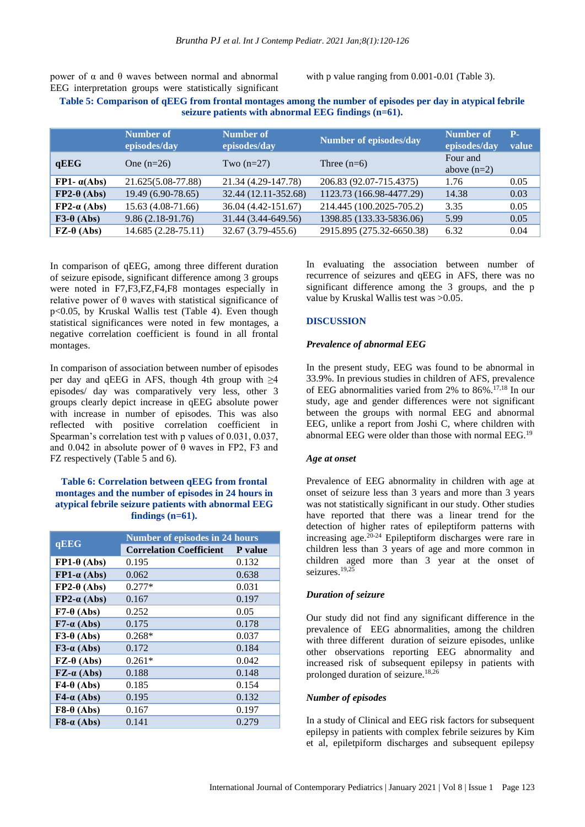power of α and θ waves between normal and abnormal EEG interpretation groups were statistically significant with p value ranging from 0.001-0.01 (Table 3).

#### **Table 5: Comparison of qEEG from frontal montages among the number of episodes per day in atypical febrile seizure patients with abnormal EEG findings (n=61).**

|                     | Number of<br>episodes/day | Number of<br>episodes/day | Number of episodes/day    | Number of<br>episodes/day | <b>P</b> -<br>value |
|---------------------|---------------------------|---------------------------|---------------------------|---------------------------|---------------------|
| qEEG                | One $(n=26)$              | Two $(n=27)$              | Three $(n=6)$             | Four and<br>above $(n=2)$ |                     |
| $FP1 - \alpha(Abs)$ | 21.625(5.08-77.88)        | 21.34 (4.29-147.78)       | 206.83 (92.07-715.4375)   | 1.76                      | 0.05                |
| $FP2-\theta (Abs)$  | 19.49 (6.90-78.65)        | 32.44 (12.11-352.68)      | 1123.73 (166.98-4477.29)  | 14.38                     | 0.03                |
| $FP2-\alpha (Abs)$  | 15.63 (4.08-71.66)        | 36.04 (4.42-151.67)       | 214.445 (100.2025-705.2)  | 3.35                      | 0.05                |
| $F3-\theta (Abs)$   | $9.86(2.18-91.76)$        | 31.44 (3.44-649.56)       | 1398.85 (133.33-5836.06)  | 5.99                      | 0.05                |
| $FZ-\theta$ (Abs)   | $14.685(2.28-75.11)$      | 32.67 (3.79-455.6)        | 2915.895 (275.32-6650.38) | 6.32                      | 0.04                |

In comparison of qEEG, among three different duration of seizure episode, significant difference among 3 groups were noted in F7,F3,FZ,F4,F8 montages especially in relative power of θ waves with statistical significance of p<0.05, by Kruskal Wallis test (Table 4). Even though statistical significances were noted in few montages, a negative correlation coefficient is found in all frontal montages.

In comparison of association between number of episodes per day and qEEG in AFS, though 4th group with  $\geq 4$ episodes/ day was comparatively very less, other 3 groups clearly depict increase in qEEG absolute power with increase in number of episodes. This was also reflected with positive correlation coefficient in Spearman's correlation test with p values of 0.031, 0.037, and 0.042 in absolute power of  $\theta$  waves in FP2, F3 and FZ respectively (Table 5 and 6).

#### **Table 6: Correlation between qEEG from frontal montages and the number of episodes in 24 hours in atypical febrile seizure patients with abnormal EEG findings (n=61).**

|                                                       | Number of episodes in 24 hours |         |  |  |
|-------------------------------------------------------|--------------------------------|---------|--|--|
| qEEG                                                  | <b>Correlation Coefficient</b> | P value |  |  |
| $FP1-\theta$ (Abs)                                    | 0.195                          | 0.132   |  |  |
| $FPI-a (Abs)$                                         | 0.062                          | 0.638   |  |  |
| $FP2-\theta$ (Abs)                                    | $0.277*$                       | 0.031   |  |  |
| $FP2-a (Abs)$                                         | 0.167                          | 0.197   |  |  |
| $F7-\theta (Abs)$                                     | 0.252                          | 0.05    |  |  |
| $F7-a$ (Abs)                                          | 0.175                          | 0.178   |  |  |
| $F3-\theta (Abs)$                                     | $0.268*$                       | 0.037   |  |  |
| $F3-a$ (Abs)                                          | 0.172                          | 0.184   |  |  |
| $\mathbf{FZ}\text{-}\theta\left( \mathbf{Abs}\right)$ | $0.261*$                       | 0.042   |  |  |
| $\mathbf{FZ}\text{-}\alpha$ (Abs)                     | 0.188                          | 0.148   |  |  |
| $F4-\theta (Abs)$                                     | 0.185                          | 0.154   |  |  |
| $F4-\alpha$ (Abs)                                     | 0.195                          | 0.132   |  |  |
| $F8-θ$ (Abs)                                          | 0.167                          | 0.197   |  |  |
| $F8-a$ (Abs)                                          | 0.141                          | 0.279   |  |  |

In evaluating the association between number of recurrence of seizures and qEEG in AFS, there was no significant difference among the 3 groups, and the p value by Kruskal Wallis test was >0.05.

#### **DISCUSSION**

#### *Prevalence of abnormal EEG*

In the present study, EEG was found to be abnormal in 33.9%. In previous studies in children of AFS, prevalence of EEG abnormalities varied from 2% to 86%.17,18 In our study, age and gender differences were not significant between the groups with normal EEG and abnormal EEG, unlike a report from Joshi C, where children with abnormal EEG were older than those with normal EEG.<sup>19</sup>

#### *Age at onset*

Prevalence of EEG abnormality in children with age at onset of seizure less than 3 years and more than 3 years was not statistically significant in our study. Other studies have reported that there was a linear trend for the detection of higher rates of epileptiform patterns with increasing age.<sup>20-24</sup> Epileptiform discharges were rare in children less than 3 years of age and more common in children aged more than 3 year at the onset of seizures.<sup>19,25</sup>

#### *Duration of seizure*

Our study did not find any significant difference in the prevalence of EEG abnormalities, among the children with three different duration of seizure episodes, unlike other observations reporting EEG abnormality and increased risk of subsequent epilepsy in patients with prolonged duration of seizure.18,26

#### *Number of episodes*

In a study of Clinical and EEG risk factors for subsequent epilepsy in patients with complex febrile seizures by Kim et al, epiletpiform discharges and subsequent epilepsy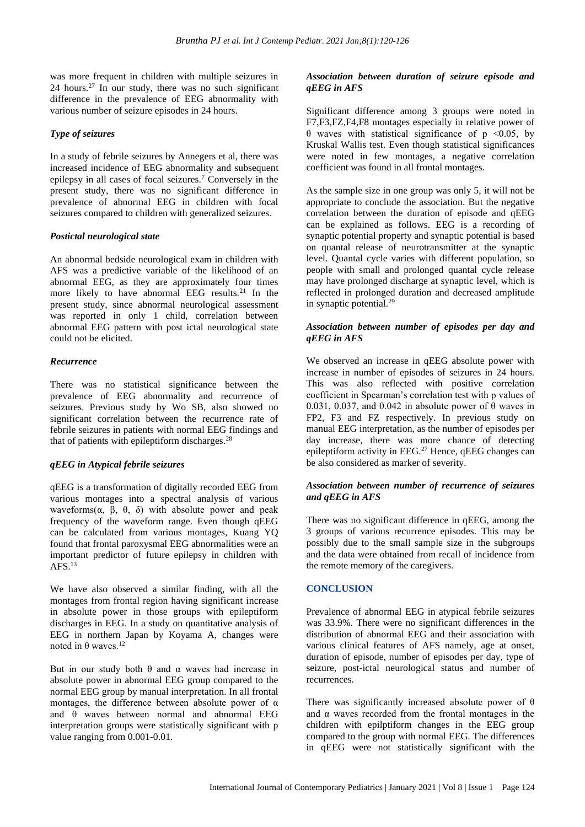was more frequent in children with multiple seizures in 24 hours.<sup>27</sup> In our study, there was no such significant difference in the prevalence of EEG abnormality with various number of seizure episodes in 24 hours.

## *Type of seizures*

In a study of febrile seizures by Annegers et al, there was increased incidence of EEG abnormality and subsequent epilepsy in all cases of focal seizures.<sup>7</sup> Conversely in the present study, there was no significant difference in prevalence of abnormal EEG in children with focal seizures compared to children with generalized seizures.

## *Postictal neurological state*

An abnormal bedside neurological exam in children with AFS was a predictive variable of the likelihood of an abnormal EEG, as they are approximately four times more likely to have abnormal EEG results.<sup>21</sup> In the present study, since abnormal neurological assessment was reported in only 1 child, correlation between abnormal EEG pattern with post ictal neurological state could not be elicited.

## *Recurrence*

There was no statistical significance between the prevalence of EEG abnormality and recurrence of seizures. Previous study by Wo SB, also showed no significant correlation between the recurrence rate of febrile seizures in patients with normal EEG findings and that of patients with epileptiform discharges. $28$ 

## *qEEG in Atypical febrile seizures*

qEEG is a transformation of digitally recorded EEG from various montages into a spectral analysis of various waveforms(α, β, θ, δ) with absolute power and peak frequency of the waveform range. Even though qEEG can be calculated from various montages, Kuang YQ found that frontal paroxysmal EEG abnormalities were an important predictor of future epilepsy in children with  $AFS<sup>13</sup>$ 

We have also observed a similar finding, with all the montages from frontal region having significant increase in absolute power in those groups with epileptiform discharges in EEG. In a study on quantitative analysis of EEG in northern Japan by Koyama A, changes were noted in  $θ$  waves.<sup>12</sup>

But in our study both  $θ$  and  $α$  waves had increase in absolute power in abnormal EEG group compared to the normal EEG group by manual interpretation. In all frontal montages, the difference between absolute power of  $\alpha$ and  $\theta$  waves between normal and abnormal EEG interpretation groups were statistically significant with p value ranging from 0.001-0.01.

## *Association between duration of seizure episode and qEEG in AFS*

Significant difference among 3 groups were noted in F7,F3,FZ,F4,F8 montages especially in relative power of θ waves with statistical significance of p <0.05, by Kruskal Wallis test. Even though statistical significances were noted in few montages, a negative correlation coefficient was found in all frontal montages.

As the sample size in one group was only 5, it will not be appropriate to conclude the association. But the negative correlation between the duration of episode and qEEG can be explained as follows. EEG is a recording of synaptic potential property and synaptic potential is based on quantal release of neurotransmitter at the synaptic level. Quantal cycle varies with different population, so people with small and prolonged quantal cycle release may have prolonged discharge at synaptic level, which is reflected in prolonged duration and decreased amplitude in synaptic potential.<sup>29</sup>

### *Association between number of episodes per day and qEEG in AFS*

We observed an increase in qEEG absolute power with increase in number of episodes of seizures in 24 hours. This was also reflected with positive correlation coefficient in Spearman's correlation test with p values of 0.031, 0.037, and 0.042 in absolute power of  $\theta$  waves in FP2, F3 and FZ respectively. In previous study on manual EEG interpretation, as the number of episodes per day increase, there was more chance of detecting epileptiform activity in EEG.<sup>27</sup> Hence, qEEG changes can be also considered as marker of severity.

## *Association between number of recurrence of seizures and qEEG in AFS*

There was no significant difference in qEEG, among the 3 groups of various recurrence episodes. This may be possibly due to the small sample size in the subgroups and the data were obtained from recall of incidence from the remote memory of the caregivers.

## **CONCLUSION**

Prevalence of abnormal EEG in atypical febrile seizures was 33.9%. There were no significant differences in the distribution of abnormal EEG and their association with various clinical features of AFS namely, age at onset, duration of episode, number of episodes per day, type of seizure, post-ictal neurological status and number of recurrences.

There was significantly increased absolute power of  $\theta$ and  $\alpha$  waves recorded from the frontal montages in the children with epilptiform changes in the EEG group compared to the group with normal EEG. The differences in qEEG were not statistically significant with the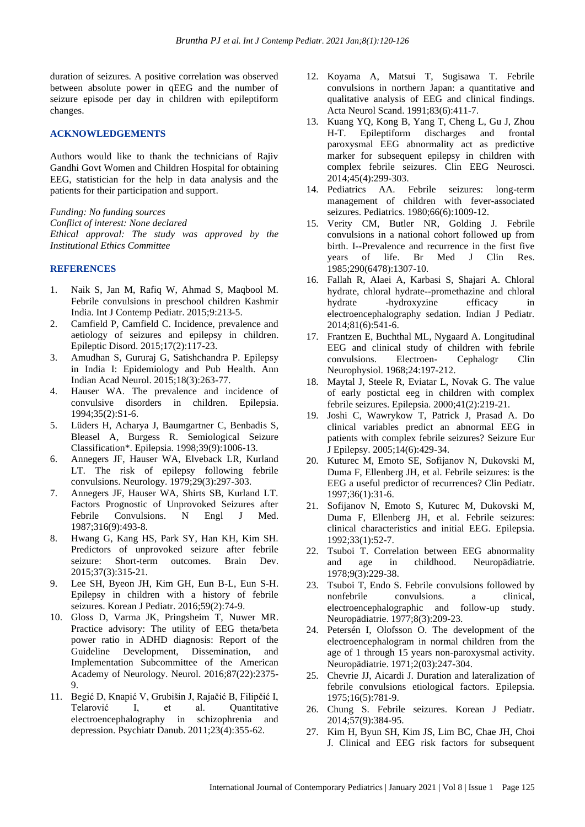duration of seizures. A positive correlation was observed between absolute power in qEEG and the number of seizure episode per day in children with epileptiform changes.

#### **ACKNOWLEDGEMENTS**

Authors would like to thank the technicians of Rajiv Gandhi Govt Women and Children Hospital for obtaining EEG, statistician for the help in data analysis and the patients for their participation and support.

*Funding: No funding sources Conflict of interest: None declared Ethical approval: The study was approved by the Institutional Ethics Committee*

#### **REFERENCES**

- 1. Naik S, Jan M, Rafiq W, Ahmad S, Maqbool M. Febrile convulsions in preschool children Kashmir India. Int J Contemp Pediatr. 2015;9:213-5.
- 2. Camfield P, Camfield C. Incidence, prevalence and aetiology of seizures and epilepsy in children. Epileptic Disord. 2015;17(2):117-23.
- 3. Amudhan S, Gururaj G, Satishchandra P. Epilepsy in India I: Epidemiology and Pub Health. Ann Indian Acad Neurol. 2015;18(3):263-77.
- 4. Hauser WA. The prevalence and incidence of convulsive disorders in children. Epilepsia. 1994;35(2):S1-6.
- 5. Lüders H, Acharya J, Baumgartner C, Benbadis S, Bleasel A, Burgess R. Semiological Seizure Classification\*. Epilepsia. 1998;39(9):1006-13.
- 6. Annegers JF, Hauser WA, Elveback LR, Kurland LT. The risk of epilepsy following febrile convulsions. Neurology. 1979;29(3):297-303.
- 7. Annegers JF, Hauser WA, Shirts SB, Kurland LT. Factors Prognostic of Unprovoked Seizures after Febrile Convulsions. N Engl J Med. 1987;316(9):493-8.
- 8. Hwang G, Kang HS, Park SY, Han KH, Kim SH. Predictors of unprovoked seizure after febrile seizure: Short-term outcomes. Brain Dev. 2015;37(3):315-21.
- 9. Lee SH, Byeon JH, Kim GH, Eun B-L, Eun S-H. Epilepsy in children with a history of febrile seizures. Korean J Pediatr. 2016;59(2):74-9.
- 10. Gloss D, Varma JK, Pringsheim T, Nuwer MR. Practice advisory: The utility of EEG theta/beta power ratio in ADHD diagnosis: Report of the Guideline Development, Dissemination, and Implementation Subcommittee of the American Academy of Neurology. Neurol. 2016;87(22):2375-9.
- 11. Begić D, Knapić V, Grubišin J, Rajačić B, Filipčić I, Telarović I, et al. Quantitative electroencephalography in schizophrenia and depression. Psychiatr Danub. 2011;23(4):355-62.
- 12. Koyama A, Matsui T, Sugisawa T. Febrile convulsions in northern Japan: a quantitative and qualitative analysis of EEG and clinical findings. Acta Neurol Scand. 1991;83(6):411-7.
- 13. Kuang YQ, Kong B, Yang T, Cheng L, Gu J, Zhou H-T. Epileptiform discharges and frontal paroxysmal EEG abnormality act as predictive marker for subsequent epilepsy in children with complex febrile seizures. Clin EEG Neurosci. 2014;45(4):299-303.
- 14. Pediatrics AA. Febrile seizures: long-term management of children with fever-associated seizures. Pediatrics. 1980;66(6):1009-12.
- 15. Verity CM, Butler NR, Golding J. Febrile convulsions in a national cohort followed up from birth. I--Prevalence and recurrence in the first five years of life. Br Med J Clin Res. 1985;290(6478):1307-10.
- 16. Fallah R, Alaei A, Karbasi S, Shajari A. Chloral hydrate, chloral hydrate--promethazine and chloral hydrate -hydroxyzine efficacy in electroencephalography sedation. Indian J Pediatr. 2014;81(6):541-6.
- 17. Frantzen E, Buchthal ML, Nygaard A. Longitudinal EEG and clinical study of children with febrile convulsions. Electroen- Cephalogr Clin Neurophysiol. 1968;24:197-212.
- 18. Maytal J, Steele R, Eviatar L, Novak G. The value of early postictal eeg in children with complex febrile seizures. Epilepsia. 2000;41(2):219-21.
- 19. Joshi C, Wawrykow T, Patrick J, Prasad A. Do clinical variables predict an abnormal EEG in patients with complex febrile seizures? Seizure Eur J Epilepsy. 2005;14(6):429-34.
- 20. Kuturec M, Emoto SE, Sofijanov N, Dukovski M, Duma F, Ellenberg JH, et al. Febrile seizures: is the EEG a useful predictor of recurrences? Clin Pediatr. 1997;36(1):31-6.
- 21. Sofijanov N, Emoto S, Kuturec M, Dukovski M, Duma F, Ellenberg JH, et al. Febrile seizures: clinical characteristics and initial EEG. Epilepsia. 1992;33(1):52-7.
- 22. Tsuboi T. Correlation between EEG abnormality and age in childhood. Neuropädiatrie. 1978;9(3):229-38.
- 23. Tsuboi T, Endo S. Febrile convulsions followed by nonfebrile convulsions. a clinical, electroencephalographic and follow-up study. Neuropädiatrie. 1977;8(3):209-23.
- 24. Petersén I, Olofsson O. The development of the electroencephalogram in normal children from the age of 1 through 15 years non-paroxysmal activity. Neuropädiatrie. 1971;2(03):247-304.
- 25. Chevrie JJ, Aicardi J. Duration and lateralization of febrile convulsions etiological factors. Epilepsia. 1975;16(5):781-9.
- 26. Chung S. Febrile seizures. Korean J Pediatr. 2014;57(9):384-95.
- 27. Kim H, Byun SH, Kim JS, Lim BC, Chae JH, Choi J. Clinical and EEG risk factors for subsequent